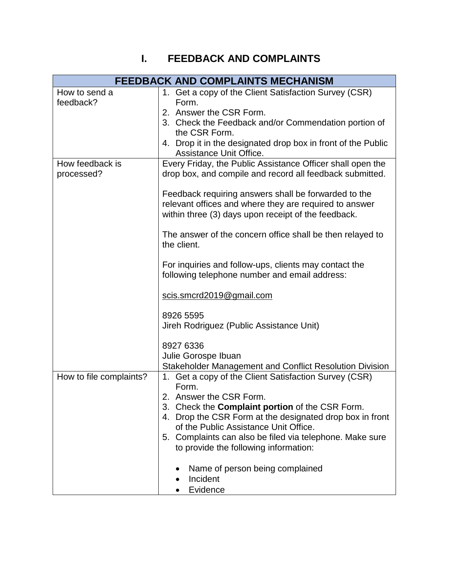## **I. FEEDBACK AND COMPLAINTS**

| FEEDBACK AND COMPLAINTS MECHANISM |                                                                                                                                                                                                                                                                                                                                                                                                                                                                                                                                                                                                                                                                           |
|-----------------------------------|---------------------------------------------------------------------------------------------------------------------------------------------------------------------------------------------------------------------------------------------------------------------------------------------------------------------------------------------------------------------------------------------------------------------------------------------------------------------------------------------------------------------------------------------------------------------------------------------------------------------------------------------------------------------------|
| How to send a<br>feedback?        | 1. Get a copy of the Client Satisfaction Survey (CSR)<br>Form.<br>2. Answer the CSR Form.<br>3. Check the Feedback and/or Commendation portion of<br>the CSR Form.<br>4. Drop it in the designated drop box in front of the Public<br>Assistance Unit Office.                                                                                                                                                                                                                                                                                                                                                                                                             |
| How feedback is<br>processed?     | Every Friday, the Public Assistance Officer shall open the<br>drop box, and compile and record all feedback submitted.<br>Feedback requiring answers shall be forwarded to the<br>relevant offices and where they are required to answer<br>within three (3) days upon receipt of the feedback.<br>The answer of the concern office shall be then relayed to<br>the client.<br>For inquiries and follow-ups, clients may contact the<br>following telephone number and email address:<br>scis.smcrd2019@gmail.com<br>8926 5595<br>Jireh Rodriguez (Public Assistance Unit)<br>8927 6336<br>Julie Gorospe Ibuan<br>Stakeholder Management and Conflict Resolution Division |
| How to file complaints?           | 1. Get a copy of the Client Satisfaction Survey (CSR)<br>Form.<br>2. Answer the CSR Form.<br>3. Check the <b>Complaint portion</b> of the CSR Form.<br>4. Drop the CSR Form at the designated drop box in front<br>of the Public Assistance Unit Office.<br>5. Complaints can also be filed via telephone. Make sure<br>to provide the following information:<br>Name of person being complained<br>Incident<br>Evidence                                                                                                                                                                                                                                                  |